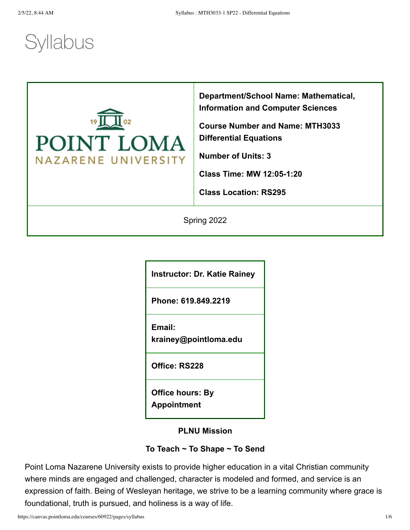# **Syllabus**



**Department/School Name: Mathematical, Information and Computer Sciences**

**Course Number and Name: MTH3033 Differential Equations**

**Number of Units: 3**

**Class Time: MW 12:05-1:20**

**Class Location: RS295**

Spring 2022

**Instructor: Dr. Katie Rainey**

**Phone: 619.849.2219**

**Email:**

**krainey@pointloma.edu**

**Office: RS228**

**Office hours: By Appointment**

**PLNU Mission**

# **To Teach ~ To Shape ~ To Send**

Point Loma Nazarene University exists to provide higher education in a vital Christian community where minds are engaged and challenged, character is modeled and formed, and service is an expression of faith. Being of Wesleyan heritage, we strive to be a learning community where grace is foundational, truth is pursued, and holiness is a way of life.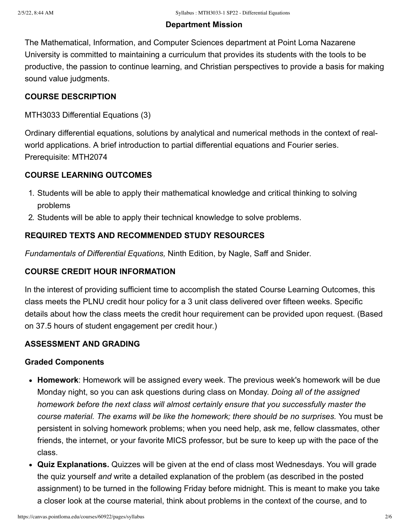#### **Department Mission**

The Mathematical, Information, and Computer Sciences department at Point Loma Nazarene University is committed to maintaining a curriculum that provides its students with the tools to be productive, the passion to continue learning, and Christian perspectives to provide a basis for making sound value judgments.

# **COURSE DESCRIPTION**

# MTH3033 Differential Equations (3)

Ordinary differential equations, solutions by analytical and numerical methods in the context of realworld applications. A brief introduction to partial differential equations and Fourier series. Prerequisite: MTH2074

# **COURSE LEARNING OUTCOMES**

- 1. Students will be able to apply their mathematical knowledge and critical thinking to solving problems
- 2. Students will be able to apply their technical knowledge to solve problems.

# **REQUIRED TEXTS AND RECOMMENDED STUDY RESOURCES**

*Fundamentals of Differential Equations,* Ninth Edition, by Nagle, Saff and Snider*.*

# **COURSE CREDIT HOUR INFORMATION**

In the interest of providing sufficient time to accomplish the stated Course Learning Outcomes, this class meets the PLNU credit hour policy for a 3 unit class delivered over fifteen weeks. Specific details about how the class meets the credit hour requirement can be provided upon request. (Based on 37.5 hours of student engagement per credit hour.)

### **ASSESSMENT AND GRADING**

### **Graded Components**

- **Homework**: Homework will be assigned every week. The previous week's homework will be due Monday night, so you can ask questions during class on Monday. *Doing all of the assigned homework before the next class will almost certainly ensure that you successfully master the course material. The exams will be like the homework; there should be no surprises.* You must be persistent in solving homework problems; when you need help, ask me, fellow classmates, other friends, the internet, or your favorite MICS professor, but be sure to keep up with the pace of the class.
- **Quiz Explanations.** Quizzes will be given at the end of class most Wednesdays. You will grade the quiz yourself *and* write a detailed explanation of the problem (as described in the posted assignment) to be turned in the following Friday before midnight. This is meant to make you take a closer look at the course material, think about problems in the context of the course, and to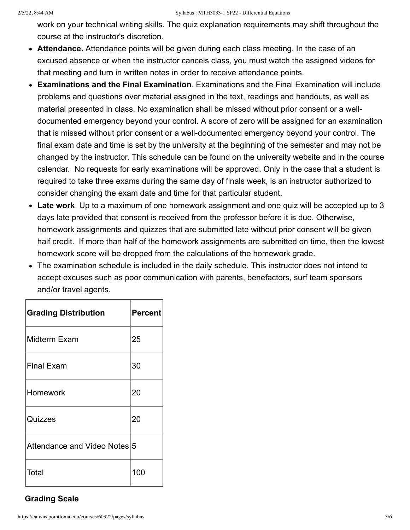work on your technical writing skills. The quiz explanation requirements may shift throughout the course at the instructor's discretion.

- **Attendance.** Attendance points will be given during each class meeting. In the case of an excused absence or when the instructor cancels class, you must watch the assigned videos for that meeting and turn in written notes in order to receive attendance points.
- **Examinations and the Final Examination**. Examinations and the Final Examination will include problems and questions over material assigned in the text, readings and handouts, as well as material presented in class. No examination shall be missed without prior consent or a welldocumented emergency beyond your control. A score of zero will be assigned for an examination that is missed without prior consent or a well-documented emergency beyond your control. The final exam date and time is set by the university at the beginning of the semester and may not be changed by the instructor. This schedule can be found on the university website and in the course calendar. No requests for early examinations will be approved. Only in the case that a student is required to take three exams during the same day of finals week, is an instructor authorized to consider changing the exam date and time for that particular student.
- **Late work**. Up to a maximum of one homework assignment and one quiz will be accepted up to 3 days late provided that consent is received from the professor before it is due. Otherwise, homework assignments and quizzes that are submitted late without prior consent will be given half credit. If more than half of the homework assignments are submitted on time, then the lowest homework score will be dropped from the calculations of the homework grade.
- The examination schedule is included in the daily schedule. This instructor does not intend to accept excuses such as poor communication with parents, benefactors, surf team sponsors and/or travel agents.

| <b>Grading Distribution</b>  | <b>Percent</b> |
|------------------------------|----------------|
| Midterm Exam                 | 25             |
| Final Exam                   | 30             |
| ∣Homework                    | 20             |
| Quizzes                      | 20             |
| Attendance and Video Notes 5 |                |
| Total                        | 100            |

# **Grading Scale**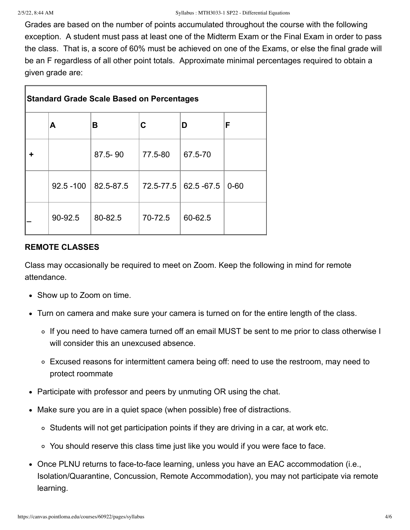Grades are based on the number of points accumulated throughout the course with the following exception. A student must pass at least one of the Midterm Exam or the Final Exam in order to pass the class. That is, a score of 60% must be achieved on one of the Exams, or else the final grade will be an F regardless of all other point totals. Approximate minimal percentages required to obtain a given grade are:

| <b>Standard Grade Scale Based on Percentages</b> |           |           |             |          |  |  |
|--------------------------------------------------|-----------|-----------|-------------|----------|--|--|
| Α                                                | В         | С         | D           | F        |  |  |
|                                                  | 87.5-90   | 77.5-80   | 67.5-70     |          |  |  |
| $92.5 - 100$                                     | 82.5-87.5 | 72.5-77.5 | 62.5 - 67.5 | $0 - 60$ |  |  |
| 90-92.5                                          | 80-82.5   | 70-72.5   | 60-62.5     |          |  |  |

# **REMOTE CLASSES**

Class may occasionally be required to meet on Zoom. Keep the following in mind for remote attendance.

- Show up to Zoom on time.
- Turn on camera and make sure your camera is turned on for the entire length of the class.
	- If you need to have camera turned off an email MUST be sent to me prior to class otherwise I will consider this an unexcused absence.
	- Excused reasons for intermittent camera being off: need to use the restroom, may need to protect roommate
- Participate with professor and peers by unmuting OR using the chat.
- Make sure you are in a quiet space (when possible) free of distractions.
	- Students will not get participation points if they are driving in a car, at work etc.
	- You should reserve this class time just like you would if you were face to face.
- Once PLNU returns to face-to-face learning, unless you have an EAC accommodation (i.e., Isolation/Quarantine, Concussion, Remote Accommodation), you may not participate via remote learning.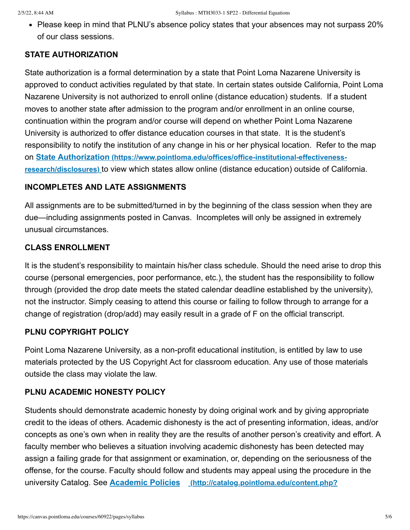• Please keep in mind that PLNU's absence policy states that your absences may not surpass 20% of our class sessions.

# **STATE AUTHORIZATION**

State authorization is a formal determination by a state that Point Loma Nazarene University is approved to conduct activities regulated by that state. In certain states outside California, Point Loma Nazarene University is not authorized to enroll online (distance education) students. If a student moves to another state after admission to the program and/or enrollment in an online course, continuation within the program and/or course will depend on whether Point Loma Nazarene University is authorized to offer distance education courses in that state. It is the student's responsibility to notify the institution of any change in his or her physical location. Refer to the map on **State Authorization (https://www.pointloma.edu/offices/office-institutional-effectivenessresearch/disclosures)** [to view which states allow online \(distance education\) outside of Calif](https://www.pointloma.edu/offices/office-institutional-effectiveness-research/disclosures)ornia.

# **INCOMPLETES AND LATE ASSIGNMENTS**

All assignments are to be submitted/turned in by the beginning of the class session when they are due—including assignments posted in Canvas. Incompletes will only be assigned in extremely unusual circumstances.

# **CLASS ENROLLMENT**

It is the student's responsibility to maintain his/her class schedule. Should the need arise to drop this course (personal emergencies, poor performance, etc.), the student has the responsibility to follow through (provided the drop date meets the stated calendar deadline established by the university), not the instructor. Simply ceasing to attend this course or failing to follow through to arrange for a change of registration (drop/add) may easily result in a grade of F on the official transcript.

# **PLNU COPYRIGHT POLICY**

Point Loma Nazarene University, as a non-profit educational institution, is entitled by law to use materials protected by the US Copyright Act for classroom education. Any use of those materials outside the class may violate the law.

# **PLNU ACADEMIC HONESTY POLICY**

Students should demonstrate academic honesty by doing original work and by giving appropriate credit to the ideas of others. Academic dishonesty is the act of presenting information, ideas, and/or concepts as one's own when in reality they are the results of another person's creativity and effort. A faculty member who believes a situation involving academic dishonesty has been detected may assign a failing grade for that assignment or examination, or, depending on the seriousness of the offense, for the course. Faculty should follow and students may appeal using the procedure in the university Catalog. See **Academic Policies [\(http://catalog.pointloma.edu/content.php?](http://catalog.pointloma.edu/content.php?catoid=18&navoid=1278)**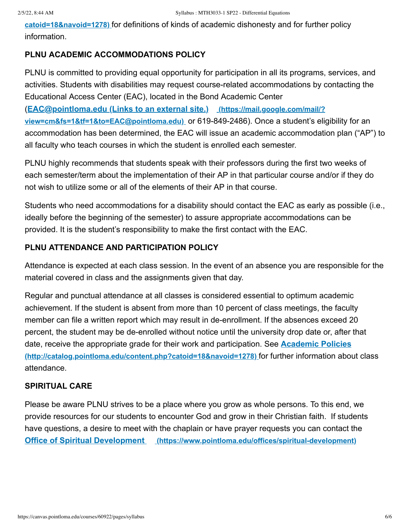**catoid=18&navoid=1278)** [for definitions of kinds of academic dishonesty and for further po](http://catalog.pointloma.edu/content.php?catoid=18&navoid=1278)licy information.

# **PLNU ACADEMIC ACCOMMODATIONS POLICY**

PLNU is committed to providing equal opportunity for participation in all its programs, services, and activities. Students with disabilities may request course-related accommodations by contacting the Educational Access Center (EAC), located in the Bond Academic Center

(**EAC@pointloma.edu (Links to an external site.) (https://mail.google.com/mail/? [view=cm&fs=1&tf=1&to=EAC@pointloma.edu\)](https://mail.google.com/mail/?view=cm&fs=1&tf=1&to=EAC@pointloma.edu)** or 619-849-2486). Once a student's eligibility for an accommodation has been determined, the EAC will issue an academic accommodation plan ("AP") to all faculty who teach courses in which the student is enrolled each semester.

PLNU highly recommends that students speak with their professors during the first two weeks of each semester/term about the implementation of their AP in that particular course and/or if they do not wish to utilize some or all of the elements of their AP in that course.

Students who need accommodations for a disability should contact the EAC as early as possible (i.e., ideally before the beginning of the semester) to assure appropriate accommodations can be provided. It is the student's responsibility to make the first contact with the EAC.

# **PLNU ATTENDANCE AND PARTICIPATION POLICY**

Attendance is expected at each class session. In the event of an absence you are responsible for the material covered in class and the assignments given that day.

Regular and punctual attendance at all classes is considered essential to optimum academic achievement. If the student is absent from more than 10 percent of class meetings, the faculty member can file a written report which may result in de-enrollment. If the absences exceed 20 percent, the student may be de-enrolled without notice until the university drop date or, after that [date, receive the appropriate grade for their work and participation. See](http://catalog.pointloma.edu/content.php?catoid=18&navoid=1278) **Academic Policies (http://catalog.pointloma.edu/content.php?catoid=18&navoid=1278)** for further information about class attendance.

### **SPIRITUAL CARE**

Please be aware PLNU strives to be a place where you grow as whole persons. To this end, we provide resources for our students to encounter God and grow in their Christian faith. If students have questions, a desire to meet with the chaplain or have prayer requests you can contact the **Office of Spiritual Development [\(https://www.pointloma.edu/offices/spiritual-development\)](https://www.pointloma.edu/offices/spiritual-development)**